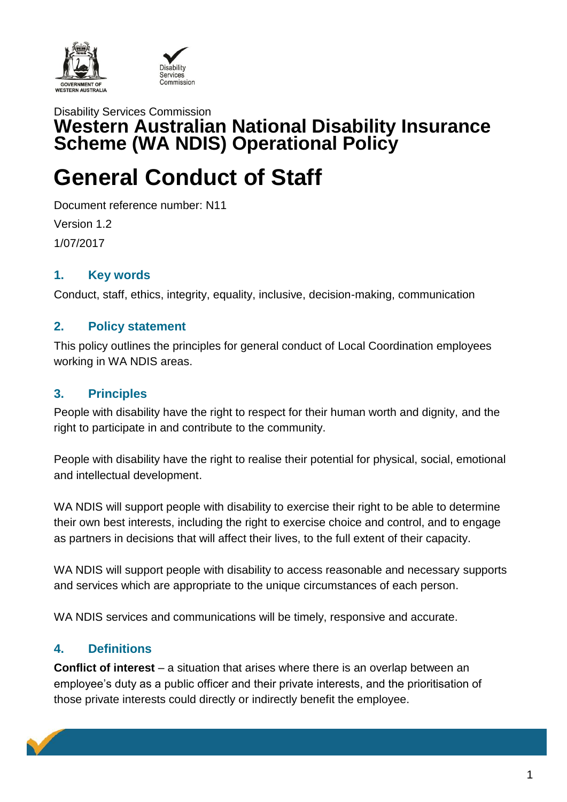



# Disability Services Commission **Western Australian National Disability Insurance Scheme (WA NDIS) Operational Policy**

# **General Conduct of Staff**

Document reference number: N11 Version 1.2 1/07/2017

#### **1. Key words**

Conduct, staff, ethics, integrity, equality, inclusive, decision-making, communication

#### **2. Policy statement**

This policy outlines the principles for general conduct of Local Coordination employees working in WA NDIS areas.

#### **3. Principles**

People with disability have the right to respect for their human worth and dignity, and the right to participate in and contribute to the community.

People with disability have the right to realise their potential for physical, social, emotional and intellectual development.

WA NDIS will support people with disability to exercise their right to be able to determine their own best interests, including the right to exercise choice and control, and to engage as partners in decisions that will affect their lives, to the full extent of their capacity.

WA NDIS will support people with disability to access reasonable and necessary supports and services which are appropriate to the unique circumstances of each person.

WA NDIS services and communications will be timely, responsive and accurate.

### **4. Definitions**

**Conflict of interest** – a situation that arises where there is an overlap between an employee's duty as a public officer and their private interests, and the prioritisation of those private interests could directly or indirectly benefit the employee.

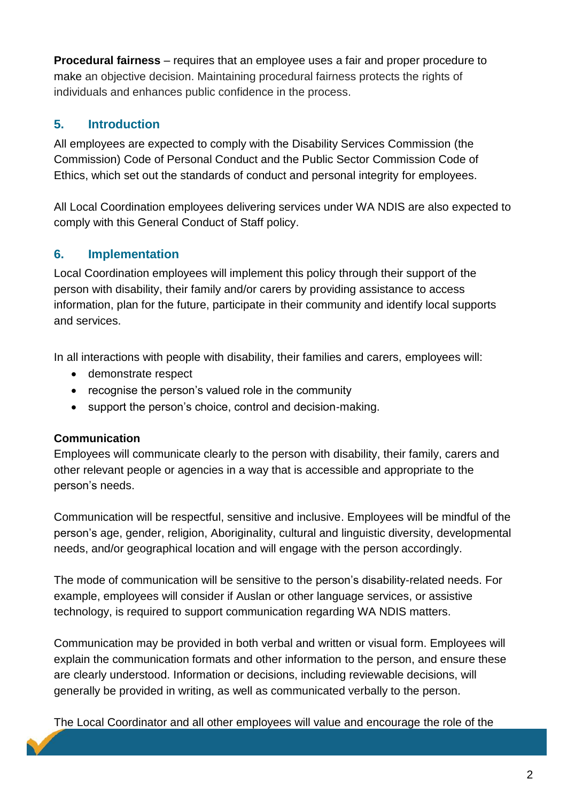**Procedural fairness** – requires that an employee uses a fair and proper procedure to make an objective decision. Maintaining procedural fairness protects the rights of individuals and enhances public confidence in the process.

## **5. Introduction**

All employees are expected to comply with the Disability Services Commission (the Commission) Code of Personal Conduct and the Public Sector Commission Code of Ethics, which set out the standards of conduct and personal integrity for employees.

All Local Coordination employees delivering services under WA NDIS are also expected to comply with this General Conduct of Staff policy.

### **6. Implementation**

Local Coordination employees will implement this policy through their support of the person with disability, their family and/or carers by providing assistance to access information, plan for the future, participate in their community and identify local supports and services.

In all interactions with people with disability, their families and carers, employees will:

- demonstrate respect
- recognise the person's valued role in the community
- support the person's choice, control and decision-making.

#### **Communication**

Employees will communicate clearly to the person with disability, their family, carers and other relevant people or agencies in a way that is accessible and appropriate to the person's needs.

Communication will be respectful, sensitive and inclusive. Employees will be mindful of the person's age, gender, religion, Aboriginality, cultural and linguistic diversity, developmental needs, and/or geographical location and will engage with the person accordingly.

The mode of communication will be sensitive to the person's disability-related needs. For example, employees will consider if Auslan or other language services, or assistive technology, is required to support communication regarding WA NDIS matters.

Communication may be provided in both verbal and written or visual form. Employees will explain the communication formats and other information to the person, and ensure these are clearly understood. Information or decisions, including reviewable decisions, will generally be provided in writing, as well as communicated verbally to the person.

The Local Coordinator and all other employees will value and encourage the role of the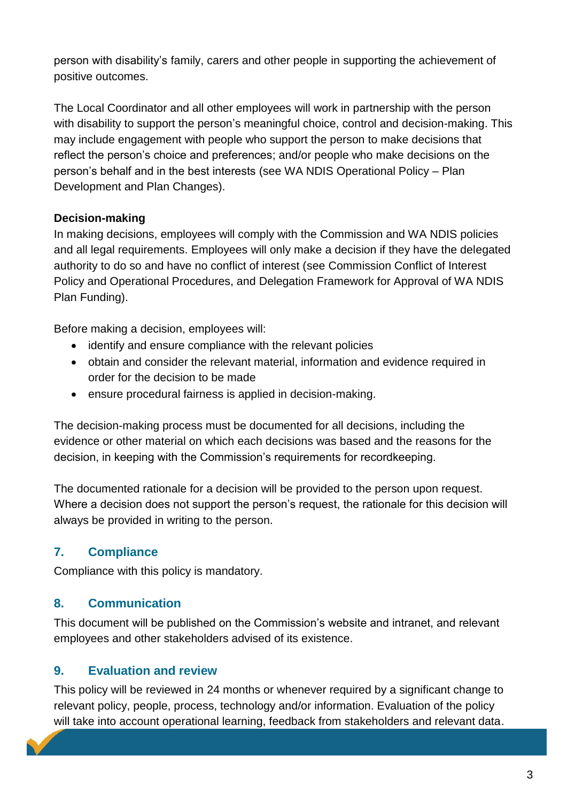person with disability's family, carers and other people in supporting the achievement of positive outcomes.

The Local Coordinator and all other employees will work in partnership with the person with disability to support the person's meaningful choice, control and decision-making. This may include engagement with people who support the person to make decisions that reflect the person's choice and preferences; and/or people who make decisions on the person's behalf and in the best interests (see WA NDIS Operational Policy – Plan Development and Plan Changes).

#### **Decision-making**

In making decisions, employees will comply with the Commission and WA NDIS policies and all legal requirements. Employees will only make a decision if they have the delegated authority to do so and have no conflict of interest (see Commission Conflict of Interest Policy and Operational Procedures, and Delegation Framework for Approval of WA NDIS Plan Funding).

Before making a decision, employees will:

- identify and ensure compliance with the relevant policies
- obtain and consider the relevant material, information and evidence required in order for the decision to be made
- ensure procedural fairness is applied in decision-making.

The decision-making process must be documented for all decisions, including the evidence or other material on which each decisions was based and the reasons for the decision, in keeping with the Commission's requirements for recordkeeping.

The documented rationale for a decision will be provided to the person upon request. Where a decision does not support the person's request, the rationale for this decision will always be provided in writing to the person.

### **7. Compliance**

Compliance with this policy is mandatory.

### **8. Communication**

This document will be published on the Commission's website and intranet, and relevant employees and other stakeholders advised of its existence.

### **9. Evaluation and review**

This policy will be reviewed in 24 months or whenever required by a significant change to relevant policy, people, process, technology and/or information. Evaluation of the policy will take into account operational learning, feedback from stakeholders and relevant data.